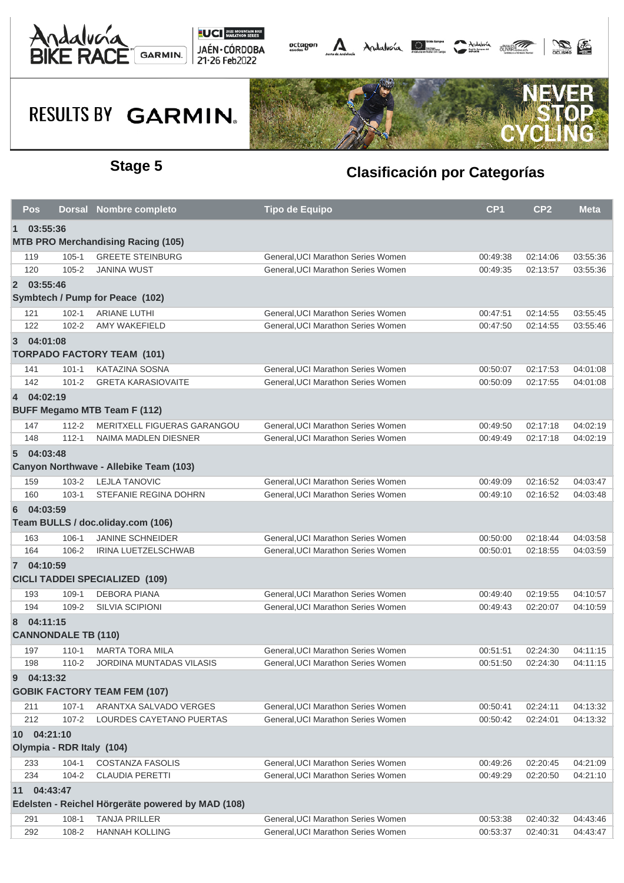



# RESULTS BY GARMIN.



### **Stage 5 Clasificación por Categorías**

|                                                   | Pos                       |                            | Dorsal Nombre completo                    | <b>Tipo de Equipo</b>              | CP <sub>1</sub> | CP <sub>2</sub> | <b>Meta</b> |  |  |  |  |  |
|---------------------------------------------------|---------------------------|----------------------------|-------------------------------------------|------------------------------------|-----------------|-----------------|-------------|--|--|--|--|--|
| 03:55:36<br>$\blacksquare$                        |                           |                            |                                           |                                    |                 |                 |             |  |  |  |  |  |
|                                                   |                           |                            | <b>MTB PRO Merchandising Racing (105)</b> |                                    |                 |                 |             |  |  |  |  |  |
|                                                   | 119                       | $105 - 1$                  | <b>GREETE STEINBURG</b>                   | General, UCI Marathon Series Women | 00:49:38        | 02:14:06        | 03:55:36    |  |  |  |  |  |
|                                                   | 120                       | $105 - 2$                  | <b>JANINA WUST</b>                        | General, UCI Marathon Series Women | 00:49:35        | 02:13:57        | 03:55:36    |  |  |  |  |  |
|                                                   | 2 03:55:46                |                            |                                           |                                    |                 |                 |             |  |  |  |  |  |
|                                                   |                           |                            | Symbtech / Pump for Peace (102)           |                                    |                 |                 |             |  |  |  |  |  |
|                                                   | 121                       | $102 - 1$                  | <b>ARIANE LUTHI</b>                       | General, UCI Marathon Series Women | 00:47:51        | 02:14:55        | 03:55:45    |  |  |  |  |  |
|                                                   | 122                       | $102 - 2$                  | AMY WAKEFIELD                             | General, UCI Marathon Series Women | 00:47:50        | 02:14:55        | 03:55:46    |  |  |  |  |  |
|                                                   | 3 04:01:08                |                            |                                           |                                    |                 |                 |             |  |  |  |  |  |
|                                                   |                           |                            | <b>TORPADO FACTORY TEAM (101)</b>         |                                    |                 |                 |             |  |  |  |  |  |
|                                                   | 141                       | $101 - 1$                  | <b>KATAZINA SOSNA</b>                     | General, UCI Marathon Series Women | 00:50:07        | 02:17:53        | 04:01:08    |  |  |  |  |  |
|                                                   | 142                       | $101 - 2$                  | <b>GRETA KARASIOVAITE</b>                 | General, UCI Marathon Series Women | 00:50:09        | 02:17:55        | 04:01:08    |  |  |  |  |  |
|                                                   | 4 04:02:19                |                            |                                           |                                    |                 |                 |             |  |  |  |  |  |
| <b>BUFF Megamo MTB Team F (112)</b>               |                           |                            |                                           |                                    |                 |                 |             |  |  |  |  |  |
|                                                   | 147                       | $112 - 2$                  | MERITXELL FIGUERAS GARANGOU               | General.UCI Marathon Series Women  | 00:49:50        | 02:17:18        | 04:02:19    |  |  |  |  |  |
|                                                   | 148                       | $112 - 1$                  | NAIMA MADLEN DIESNER                      | General, UCI Marathon Series Women | 00:49:49        | 02:17:18        | 04:02:19    |  |  |  |  |  |
|                                                   | 5 04:03:48                |                            |                                           |                                    |                 |                 |             |  |  |  |  |  |
| Canyon Northwave - Allebike Team (103)            |                           |                            |                                           |                                    |                 |                 |             |  |  |  |  |  |
|                                                   | 159                       | $103 - 2$                  | <b>LEJLA TANOVIC</b>                      | General, UCI Marathon Series Women | 00:49:09        | 02:16:52        | 04:03:47    |  |  |  |  |  |
|                                                   | 160                       | $103 - 1$                  | STEFANIE REGINA DOHRN                     | General.UCI Marathon Series Women  | 00:49:10        | 02:16:52        | 04:03:48    |  |  |  |  |  |
| 6                                                 | 04:03:59                  |                            |                                           |                                    |                 |                 |             |  |  |  |  |  |
|                                                   |                           |                            | Team BULLS / doc.oliday.com (106)         |                                    |                 |                 |             |  |  |  |  |  |
|                                                   | 163                       | $106 - 1$                  | <b>JANINE SCHNEIDER</b>                   | General, UCI Marathon Series Women | 00:50:00        | 02:18:44        | 04:03:58    |  |  |  |  |  |
|                                                   | 164                       | $106 - 2$                  | <b>IRINA LUETZELSCHWAB</b>                | General, UCI Marathon Series Women | 00:50:01        | 02:18:55        | 04:03:59    |  |  |  |  |  |
|                                                   | 7 04:10:59                |                            |                                           |                                    |                 |                 |             |  |  |  |  |  |
|                                                   |                           |                            | <b>CICLI TADDEI SPECIALIZED (109)</b>     |                                    |                 |                 |             |  |  |  |  |  |
|                                                   | 193                       | $109 - 1$                  | <b>DEBORA PIANA</b>                       | General, UCI Marathon Series Women | 00:49:40        | 02:19:55        | 04:10:57    |  |  |  |  |  |
|                                                   | 194                       | 109-2                      | <b>SILVIA SCIPIONI</b>                    | General, UCI Marathon Series Women | 00:49:43        | 02:20:07        | 04:10:59    |  |  |  |  |  |
| 8                                                 | 04:11:15                  |                            |                                           |                                    |                 |                 |             |  |  |  |  |  |
|                                                   |                           | <b>CANNONDALE TB (110)</b> |                                           |                                    |                 |                 |             |  |  |  |  |  |
|                                                   | 197                       | $110 - 1$                  | <b>MARTA TORA MILA</b>                    | General, UCI Marathon Series Women | 00:51:51        | 02:24:30        | 04:11:15    |  |  |  |  |  |
|                                                   | 198                       | $110 - 2$                  | <b>JORDINA MUNTADAS VILASIS</b>           | General, UCI Marathon Series Women | 00:51:50        | 02:24:30        | 04:11:15    |  |  |  |  |  |
| 9                                                 | 04:13:32                  |                            |                                           |                                    |                 |                 |             |  |  |  |  |  |
|                                                   |                           |                            | <b>GOBIK FACTORY TEAM FEM (107)</b>       |                                    |                 |                 |             |  |  |  |  |  |
|                                                   | 211                       | $107 - 1$                  | ARANTXA SALVADO VERGES                    | General, UCI Marathon Series Women | 00:50:41        | 02:24:11        | 04:13:32    |  |  |  |  |  |
|                                                   | 212                       | $107 - 2$                  | LOURDES CAYETANO PUERTAS                  | General, UCI Marathon Series Women | 00:50:42        | 02:24:01        | 04:13:32    |  |  |  |  |  |
|                                                   | 10 04:21:10               |                            |                                           |                                    |                 |                 |             |  |  |  |  |  |
|                                                   | Olympia - RDR Italy (104) |                            |                                           |                                    |                 |                 |             |  |  |  |  |  |
|                                                   | 233                       | $104 - 1$                  | <b>COSTANZA FASOLIS</b>                   | General, UCI Marathon Series Women | 00:49:26        | 02:20:45        | 04:21:09    |  |  |  |  |  |
|                                                   | 234                       | $104 - 2$                  | CLAUDIA PERETTI                           | General, UCI Marathon Series Women | 00:49:29        | 02:20:50        | 04:21:10    |  |  |  |  |  |
| 11                                                | 04:43:47                  |                            |                                           |                                    |                 |                 |             |  |  |  |  |  |
| Edelsten - Reichel Hörgeräte powered by MAD (108) |                           |                            |                                           |                                    |                 |                 |             |  |  |  |  |  |
|                                                   | 291                       | $108-1$                    | <b>TANJA PRILLER</b>                      | General, UCI Marathon Series Women | 00:53:38        | 02:40:32        | 04:43:46    |  |  |  |  |  |
|                                                   | 292                       | 108-2                      | <b>HANNAH KOLLING</b>                     | General, UCI Marathon Series Women | 00:53:37        | 02:40:31        | 04:43:47    |  |  |  |  |  |